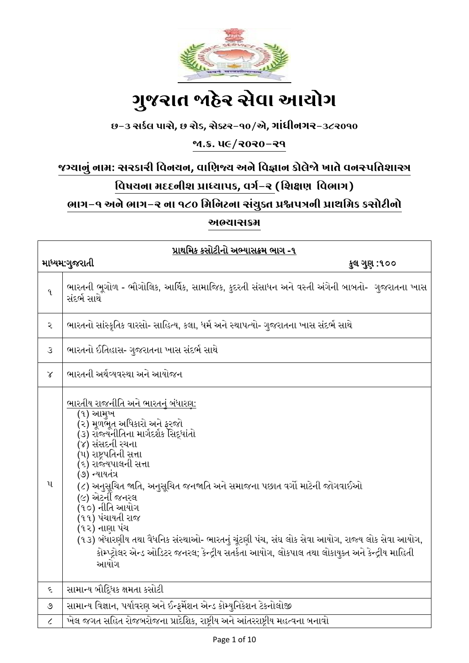

# ગ ુજરાત જાહેર સેવા આયોગ

# છ-૩ સર્કલ પાસે**,** છ રોડ**,** સેક્ટર-૧૦/એ**,** ગાાંધીનગર-૩૮૨૦૧૦

# જા.ક્ર. ૫૯/૨૦૨૦-૨૧

# જગ્યાનુાં નામ: સરર્ારી વવનયન**,** વાવિજ્ય અને વવજ્ઞાન ર્ોલેજો ખાતે વનસ્પવતશાસ્ત્ર

# વિષયના મદદનીશ પ્રાધ્યાપક, વર્ગ-ર (શિક્ષણ વિભાગ)

# ભાગ-૧ અને ભાગ-૨ ના ૧૮૦ વમવનટના સાંયુક્ત પ્રશ્નપત્રની પ્રાથવમર્ ર્સોટીનો

અભ્યાસક્રમ

| પ્રાથમિક કસોટીનો અભ્યાસક્રમ ભાગ -૧ |                                                                                                                                                                                                                                                                                                                                                                                                                                                                                                                                                                                      |  |
|------------------------------------|--------------------------------------------------------------------------------------------------------------------------------------------------------------------------------------------------------------------------------------------------------------------------------------------------------------------------------------------------------------------------------------------------------------------------------------------------------------------------------------------------------------------------------------------------------------------------------------|--|
| માધ્યમ:ગુજરાતી<br>કુલ ગુણ :૧૦૦     |                                                                                                                                                                                                                                                                                                                                                                                                                                                                                                                                                                                      |  |
| q                                  | ભારતની ભૂગોળ - ભૌગોલિક, આર્થિક, સામાજિક, કુદરતી સંસાધન અને વસ્તી અંગેની બાબતો- ગુજરાતના ખાસ<br>સંદર્ભ સાથે                                                                                                                                                                                                                                                                                                                                                                                                                                                                           |  |
| ર                                  | ભારતનો સાંસ્કૃતિક વારસો- સાહિત્ય, કલા, ધર્મ અને સ્થાપત્યો- ગુજરાતના ખાસ સંદર્ભ સાથે                                                                                                                                                                                                                                                                                                                                                                                                                                                                                                  |  |
| 3                                  | ભારતનો ઈતિહાસ- ગુજરાતના ખાસ સંદર્ભ સાથે                                                                                                                                                                                                                                                                                                                                                                                                                                                                                                                                              |  |
| $\chi$                             | ભારતની અર્થવ્યવસ્થા અને આયોજન                                                                                                                                                                                                                                                                                                                                                                                                                                                                                                                                                        |  |
| પ                                  | <u>ભારતીય રાજનીતિ અને ભારતનું બંધારણ:</u><br>(૧) આમુખ<br>(૨) મૂળભૂત અધિકારો અને ફરજો<br>(૩) રોજ્યનીતિના માર્ગદર્શક સિદ્ધાંતો<br>(૪) સંસદની રચના<br>(૫) રાષ્ટ્રપતિની સત્તા<br>(૬) રાજ્યપાલની સત્તા<br>(૭) ન્યાયતંત્ર<br>(૮) અનુસુચિત જાતિ, અનુસુચિત જનજાતિ અને સમાજના પછાત વર્ગો માટેની જોગવાઈઓ<br>(૯) એટર્ની જનરલ<br>(૧૦) નીતિ આયોગ<br>(૧૧) પંચાયતી રાજ<br>(૧૨) નાણા પંચ<br>(૧૩) બંધારણીય તથા વૈધનિક સંસ્થાઓ- ભારતનું ચૂંટણી પંચ, સંઘ લોક સેવા આયોગ, રાજ્ય લોક સેવા આયોગ,<br>કોમ્પ્ટ્રોલર એન્ડ ઓડિટર જનરલ; કેન્દ્રીય સતર્કતા આયોગ, લોકપાલ તથા લોકાયુક્ત અને કેન્દ્રીય માહિતી<br>આયોગ |  |
| ૬                                  | સામાન્ય બૌદ્ધિક ક્ષમતા કસોટી                                                                                                                                                                                                                                                                                                                                                                                                                                                                                                                                                         |  |
| ೨                                  | સામાન્ય વિજ્ઞાન, પર્યાવરણ અને ઈન્ફર્મેશન એન્ડ કોમ્યુનિકેશન ટેકનોલોજી                                                                                                                                                                                                                                                                                                                                                                                                                                                                                                                 |  |
| $\mathcal{L}_{\mathcal{L}}$        | ખેલ જગત સહિત રોજબરોજના પ્રાદેશિક, રાષ્ટ્રીય અને આંતરરાષ્ટ્રીય મહત્વના બનાવો                                                                                                                                                                                                                                                                                                                                                                                                                                                                                                          |  |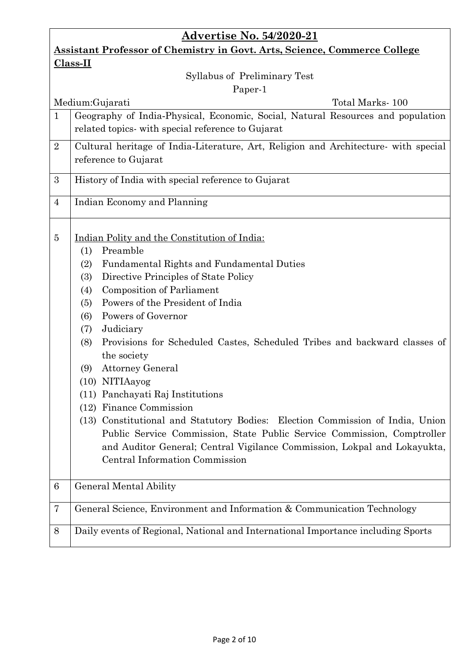# **Advertise No. 54/2020-21**

# **Assistant Professor of Chemistry in Govt. Arts, Science, Commerce College Class-II**

# Syllabus of Preliminary Test

#### Paper-1

|                | Paper-1                                                                                                                                                                                                                                                                                                                                                                                                                                                                                                                                                                                                                                                                                                                                                                                                                 |
|----------------|-------------------------------------------------------------------------------------------------------------------------------------------------------------------------------------------------------------------------------------------------------------------------------------------------------------------------------------------------------------------------------------------------------------------------------------------------------------------------------------------------------------------------------------------------------------------------------------------------------------------------------------------------------------------------------------------------------------------------------------------------------------------------------------------------------------------------|
|                | Medium: Gujarati<br>Total Marks-100                                                                                                                                                                                                                                                                                                                                                                                                                                                                                                                                                                                                                                                                                                                                                                                     |
| $\mathbf{1}$   | Geography of India-Physical, Economic, Social, Natural Resources and population<br>related topics- with special reference to Gujarat                                                                                                                                                                                                                                                                                                                                                                                                                                                                                                                                                                                                                                                                                    |
| $\overline{2}$ | Cultural heritage of India-Literature, Art, Religion and Architecture- with special<br>reference to Gujarat                                                                                                                                                                                                                                                                                                                                                                                                                                                                                                                                                                                                                                                                                                             |
| 3              | History of India with special reference to Gujarat                                                                                                                                                                                                                                                                                                                                                                                                                                                                                                                                                                                                                                                                                                                                                                      |
| $\overline{4}$ | Indian Economy and Planning                                                                                                                                                                                                                                                                                                                                                                                                                                                                                                                                                                                                                                                                                                                                                                                             |
| 5              | Indian Polity and the Constitution of India:<br>Preamble<br>(1)<br><b>Fundamental Rights and Fundamental Duties</b><br>(2)<br>Directive Principles of State Policy<br>(3)<br><b>Composition of Parliament</b><br>(4)<br>Powers of the President of India<br>(5)<br>Powers of Governor<br>(6)<br>Judiciary<br>(7)<br>Provisions for Scheduled Castes, Scheduled Tribes and backward classes of<br>(8)<br>the society<br><b>Attorney General</b><br>(9)<br>(10) NITIAayog<br>(11) Panchayati Raj Institutions<br>(12) Finance Commission<br>(13) Constitutional and Statutory Bodies: Election Commission of India, Union<br>Public Service Commission, State Public Service Commission, Comptroller<br>and Auditor General; Central Vigilance Commission, Lokpal and Lokayukta,<br><b>Central Information Commission</b> |
| 6              | <b>General Mental Ability</b>                                                                                                                                                                                                                                                                                                                                                                                                                                                                                                                                                                                                                                                                                                                                                                                           |
| 7              | General Science, Environment and Information & Communication Technology                                                                                                                                                                                                                                                                                                                                                                                                                                                                                                                                                                                                                                                                                                                                                 |
| 8              | Daily events of Regional, National and International Importance including Sports                                                                                                                                                                                                                                                                                                                                                                                                                                                                                                                                                                                                                                                                                                                                        |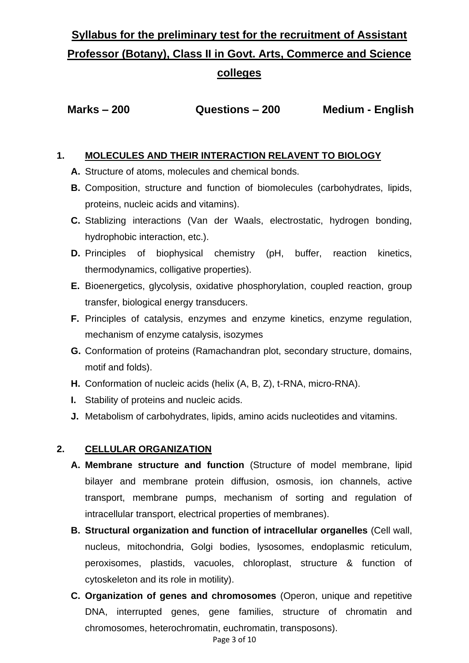# **Syllabus for the preliminary test for the recruitment of Assistant Professor (Botany), Class II in Govt. Arts, Commerce and Science colleges**

 **Marks – 200 Questions – 200 Medium - English**

# **1. MOLECULES AND THEIR INTERACTION RELAVENT TO BIOLOGY**

- **A.** Structure of atoms, molecules and chemical bonds.
- **B.** Composition, structure and function of biomolecules (carbohydrates, lipids, proteins, nucleic acids and vitamins).
- **C.** Stablizing interactions (Van der Waals, electrostatic, hydrogen bonding, hydrophobic interaction, etc.).
- **D.** Principles of biophysical chemistry (pH, buffer, reaction kinetics, thermodynamics, colligative properties).
- **E.** Bioenergetics, glycolysis, oxidative phosphorylation, coupled reaction, group transfer, biological energy transducers.
- **F.** Principles of catalysis, enzymes and enzyme kinetics, enzyme regulation, mechanism of enzyme catalysis, isozymes
- **G.** Conformation of proteins (Ramachandran plot, secondary structure, domains, motif and folds).
- **H.** Conformation of nucleic acids (helix (A, B, Z), t-RNA, micro-RNA).
- **I.** Stability of proteins and nucleic acids.
- **J.** Metabolism of carbohydrates, lipids, amino acids nucleotides and vitamins.

# **2. CELLULAR ORGANIZATION**

- **A. Membrane structure and function** (Structure of model membrane, lipid bilayer and membrane protein diffusion, osmosis, ion channels, active transport, membrane pumps, mechanism of sorting and regulation of intracellular transport, electrical properties of membranes).
- **B. Structural organization and function of intracellular organelles** (Cell wall, nucleus, mitochondria, Golgi bodies, lysosomes, endoplasmic reticulum, peroxisomes, plastids, vacuoles, chloroplast, structure & function of cytoskeleton and its role in motility).
- **C. Organization of genes and chromosomes** (Operon, unique and repetitive DNA, interrupted genes, gene families, structure of chromatin and chromosomes, heterochromatin, euchromatin, transposons).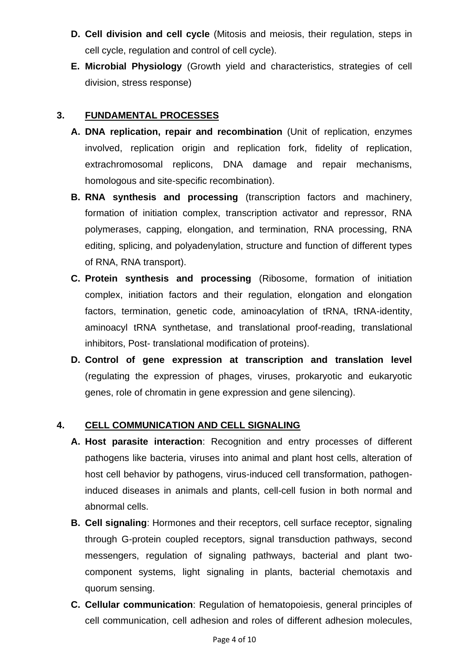- **D. Cell division and cell cycle** (Mitosis and meiosis, their regulation, steps in cell cycle, regulation and control of cell cycle).
- **E. Microbial Physiology** (Growth yield and characteristics, strategies of cell division, stress response)

#### **3. FUNDAMENTAL PROCESSES**

- **A. DNA replication, repair and recombination** (Unit of replication, enzymes involved, replication origin and replication fork, fidelity of replication, extrachromosomal replicons, DNA damage and repair mechanisms, homologous and site-specific recombination).
- **B. RNA synthesis and processing** (transcription factors and machinery, formation of initiation complex, transcription activator and repressor, RNA polymerases, capping, elongation, and termination, RNA processing, RNA editing, splicing, and polyadenylation, structure and function of different types of RNA, RNA transport).
- **C. Protein synthesis and processing** (Ribosome, formation of initiation complex, initiation factors and their regulation, elongation and elongation factors, termination, genetic code, aminoacylation of tRNA, tRNA-identity, aminoacyl tRNA synthetase, and translational proof-reading, translational inhibitors, Post- translational modification of proteins).
- **D. Control of gene expression at transcription and translation level** (regulating the expression of phages, viruses, prokaryotic and eukaryotic genes, role of chromatin in gene expression and gene silencing).

#### **4. CELL COMMUNICATION AND CELL SIGNALING**

- **A. Host parasite interaction**: Recognition and entry processes of different pathogens like bacteria, viruses into animal and plant host cells, alteration of host cell behavior by pathogens, virus-induced cell transformation, pathogeninduced diseases in animals and plants, cell-cell fusion in both normal and abnormal cells.
- **B. Cell signaling**: Hormones and their receptors, cell surface receptor, signaling through G-protein coupled receptors, signal transduction pathways, second messengers, regulation of signaling pathways, bacterial and plant twocomponent systems, light signaling in plants, bacterial chemotaxis and quorum sensing.
- **C. Cellular communication**: Regulation of hematopoiesis, general principles of cell communication, cell adhesion and roles of different adhesion molecules,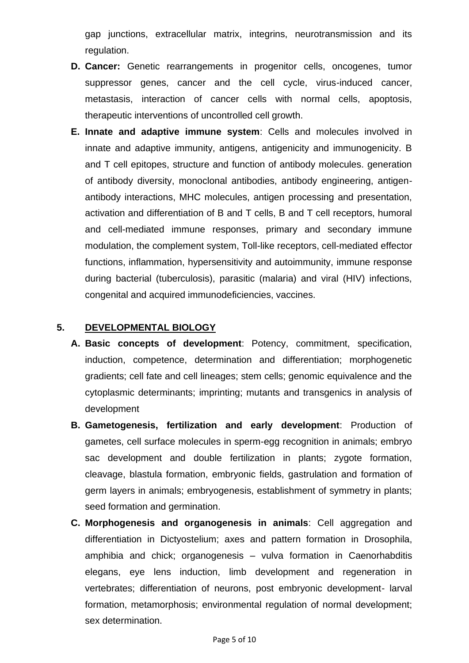gap junctions, extracellular matrix, integrins, neurotransmission and its regulation.

- **D. Cancer:** Genetic rearrangements in progenitor cells, oncogenes, tumor suppressor genes, cancer and the cell cycle, virus-induced cancer, metastasis, interaction of cancer cells with normal cells, apoptosis, therapeutic interventions of uncontrolled cell growth.
- **E. Innate and adaptive immune system**: Cells and molecules involved in innate and adaptive immunity, antigens, antigenicity and immunogenicity. B and T cell epitopes, structure and function of antibody molecules. generation of antibody diversity, monoclonal antibodies, antibody engineering, antigenantibody interactions, MHC molecules, antigen processing and presentation, activation and differentiation of B and T cells, B and T cell receptors, humoral and cell-mediated immune responses, primary and secondary immune modulation, the complement system, Toll-like receptors, cell-mediated effector functions, inflammation, hypersensitivity and autoimmunity, immune response during bacterial (tuberculosis), parasitic (malaria) and viral (HIV) infections, congenital and acquired immunodeficiencies, vaccines.

#### **5. DEVELOPMENTAL BIOLOGY**

- **A. Basic concepts of development**: Potency, commitment, specification, induction, competence, determination and differentiation; morphogenetic gradients; cell fate and cell lineages; stem cells; genomic equivalence and the cytoplasmic determinants; imprinting; mutants and transgenics in analysis of development
- **B. Gametogenesis, fertilization and early development**: Production of gametes, cell surface molecules in sperm-egg recognition in animals; embryo sac development and double fertilization in plants; zygote formation, cleavage, blastula formation, embryonic fields, gastrulation and formation of germ layers in animals; embryogenesis, establishment of symmetry in plants; seed formation and germination.
- **C. Morphogenesis and organogenesis in animals**: Cell aggregation and differentiation in Dictyostelium; axes and pattern formation in Drosophila, amphibia and chick; organogenesis – vulva formation in Caenorhabditis elegans, eye lens induction, limb development and regeneration in vertebrates; differentiation of neurons, post embryonic development- larval formation, metamorphosis; environmental regulation of normal development; sex determination.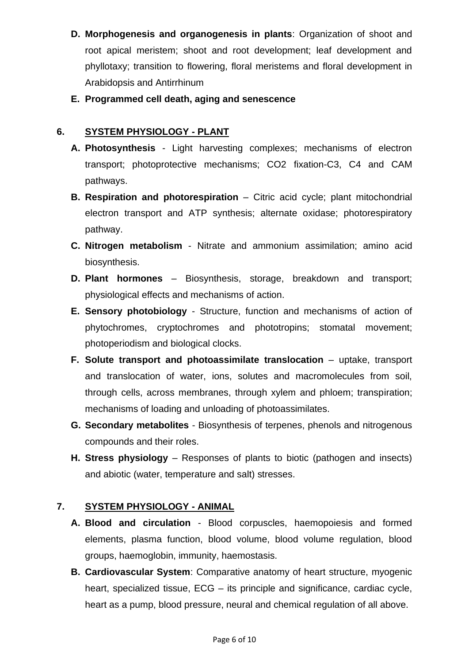- **D. Morphogenesis and organogenesis in plants**: Organization of shoot and root apical meristem; shoot and root development; leaf development and phyllotaxy; transition to flowering, floral meristems and floral development in Arabidopsis and Antirrhinum
- **E. Programmed cell death, aging and senescence**

# **6. SYSTEM PHYSIOLOGY - PLANT**

- **A. Photosynthesis**  Light harvesting complexes; mechanisms of electron transport; photoprotective mechanisms; CO2 fixation-C3, C4 and CAM pathways.
- **B. Respiration and photorespiration** Citric acid cycle; plant mitochondrial electron transport and ATP synthesis; alternate oxidase; photorespiratory pathway.
- **C. Nitrogen metabolism** Nitrate and ammonium assimilation; amino acid biosynthesis.
- **D. Plant hormones** Biosynthesis, storage, breakdown and transport; physiological effects and mechanisms of action.
- **E. Sensory photobiology** Structure, function and mechanisms of action of phytochromes, cryptochromes and phototropins; stomatal movement; photoperiodism and biological clocks.
- **F. Solute transport and photoassimilate translocation** uptake, transport and translocation of water, ions, solutes and macromolecules from soil, through cells, across membranes, through xylem and phloem; transpiration; mechanisms of loading and unloading of photoassimilates.
- **G. Secondary metabolites** Biosynthesis of terpenes, phenols and nitrogenous compounds and their roles.
- **H. Stress physiology** Responses of plants to biotic (pathogen and insects) and abiotic (water, temperature and salt) stresses.

# **7. SYSTEM PHYSIOLOGY - ANIMAL**

- **A. Blood and circulation** Blood corpuscles, haemopoiesis and formed elements, plasma function, blood volume, blood volume regulation, blood groups, haemoglobin, immunity, haemostasis.
- **B. Cardiovascular System**: Comparative anatomy of heart structure, myogenic heart, specialized tissue, ECG – its principle and significance, cardiac cycle, heart as a pump, blood pressure, neural and chemical regulation of all above.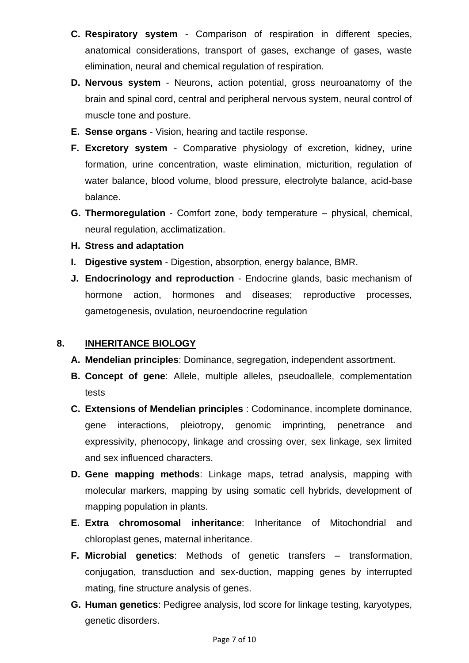- **C. Respiratory system** Comparison of respiration in different species, anatomical considerations, transport of gases, exchange of gases, waste elimination, neural and chemical regulation of respiration.
- **D. Nervous system** Neurons, action potential, gross neuroanatomy of the brain and spinal cord, central and peripheral nervous system, neural control of muscle tone and posture.
- **E. Sense organs** Vision, hearing and tactile response.
- **F. Excretory system** Comparative physiology of excretion, kidney, urine formation, urine concentration, waste elimination, micturition, regulation of water balance, blood volume, blood pressure, electrolyte balance, acid-base balance.
- **G. Thermoregulation**  Comfort zone, body temperature physical, chemical, neural regulation, acclimatization.
- **H. Stress and adaptation**
- **I. Digestive system** Digestion, absorption, energy balance, BMR.
- **J. Endocrinology and reproduction** Endocrine glands, basic mechanism of hormone action, hormones and diseases; reproductive processes, gametogenesis, ovulation, neuroendocrine regulation

# **8. INHERITANCE BIOLOGY**

- **A. Mendelian principles**: Dominance, segregation, independent assortment.
- **B. Concept of gene**: Allele, multiple alleles, pseudoallele, complementation tests
- **C. Extensions of Mendelian principles** : Codominance, incomplete dominance, gene interactions, pleiotropy, genomic imprinting, penetrance and expressivity, phenocopy, linkage and crossing over, sex linkage, sex limited and sex influenced characters.
- **D. Gene mapping methods**: Linkage maps, tetrad analysis, mapping with molecular markers, mapping by using somatic cell hybrids, development of mapping population in plants.
- **E. Extra chromosomal inheritance**: Inheritance of Mitochondrial and chloroplast genes, maternal inheritance.
- **F. Microbial genetics**: Methods of genetic transfers transformation, conjugation, transduction and sex-duction, mapping genes by interrupted mating, fine structure analysis of genes.
- **G. Human genetics**: Pedigree analysis, lod score for linkage testing, karyotypes, genetic disorders.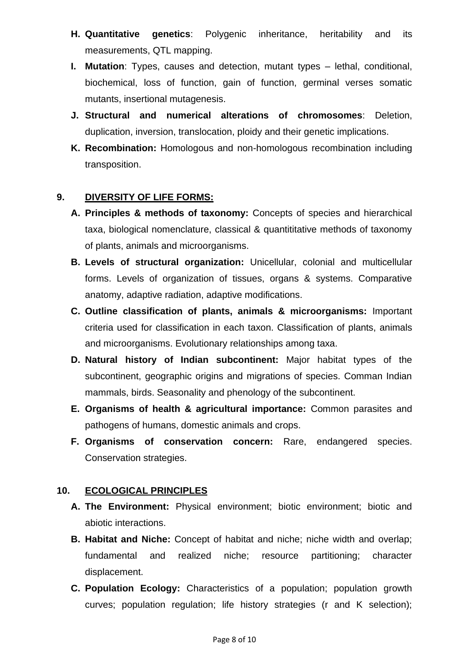- **H. Quantitative genetics**: Polygenic inheritance, heritability and its measurements, QTL mapping.
- **I. Mutation**: Types, causes and detection, mutant types lethal, conditional, biochemical, loss of function, gain of function, germinal verses somatic mutants, insertional mutagenesis.
- **J. Structural and numerical alterations of chromosomes**: Deletion, duplication, inversion, translocation, ploidy and their genetic implications.
- **K. Recombination:** Homologous and non-homologous recombination including transposition.

## **9. DIVERSITY OF LIFE FORMS:**

- **A. Principles & methods of taxonomy:** Concepts of species and hierarchical taxa, biological nomenclature, classical & quantititative methods of taxonomy of plants, animals and microorganisms.
- **B. Levels of structural organization:** Unicellular, colonial and multicellular forms. Levels of organization of tissues, organs & systems. Comparative anatomy, adaptive radiation, adaptive modifications.
- **C. Outline classification of plants, animals & microorganisms:** Important criteria used for classification in each taxon. Classification of plants, animals and microorganisms. Evolutionary relationships among taxa.
- **D. Natural history of Indian subcontinent:** Major habitat types of the subcontinent, geographic origins and migrations of species. Comman Indian mammals, birds. Seasonality and phenology of the subcontinent.
- **E. Organisms of health & agricultural importance:** Common parasites and pathogens of humans, domestic animals and crops.
- **F. Organisms of conservation concern:** Rare, endangered species. Conservation strategies.

## **10. ECOLOGICAL PRINCIPLES**

- **A. The Environment:** Physical environment; biotic environment; biotic and abiotic interactions.
- **B. Habitat and Niche:** Concept of habitat and niche; niche width and overlap; fundamental and realized niche; resource partitioning; character displacement.
- **C. Population Ecology:** Characteristics of a population; population growth curves; population regulation; life history strategies (r and K selection);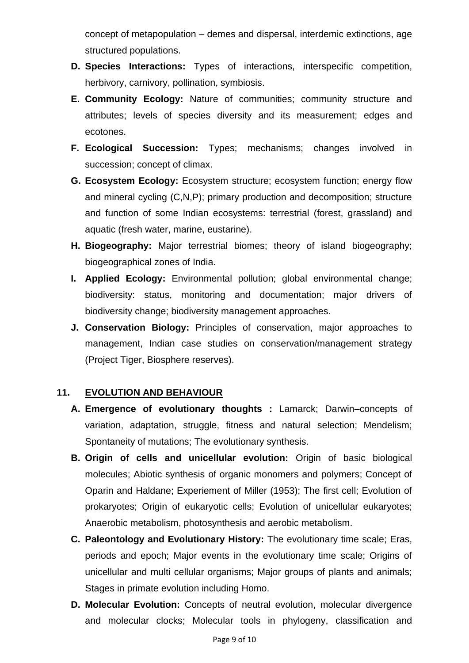concept of metapopulation – demes and dispersal, interdemic extinctions, age structured populations.

- **D. Species Interactions:** Types of interactions, interspecific competition, herbivory, carnivory, pollination, symbiosis.
- **E. Community Ecology:** Nature of communities; community structure and attributes; levels of species diversity and its measurement; edges and ecotones.
- **F. Ecological Succession:** Types; mechanisms; changes involved in succession; concept of climax.
- **G. Ecosystem Ecology:** Ecosystem structure; ecosystem function; energy flow and mineral cycling (C,N,P); primary production and decomposition; structure and function of some Indian ecosystems: terrestrial (forest, grassland) and aquatic (fresh water, marine, eustarine).
- **H. Biogeography:** Major terrestrial biomes; theory of island biogeography; biogeographical zones of India.
- **I. Applied Ecology:** Environmental pollution; global environmental change; biodiversity: status, monitoring and documentation; major drivers of biodiversity change; biodiversity management approaches.
- **J. Conservation Biology:** Principles of conservation, major approaches to management, Indian case studies on conservation/management strategy (Project Tiger, Biosphere reserves).

## **11. EVOLUTION AND BEHAVIOUR**

- **A. Emergence of evolutionary thoughts :** Lamarck; Darwin–concepts of variation, adaptation, struggle, fitness and natural selection; Mendelism; Spontaneity of mutations; The evolutionary synthesis.
- **B. Origin of cells and unicellular evolution:** Origin of basic biological molecules; Abiotic synthesis of organic monomers and polymers; Concept of Oparin and Haldane; Experiement of Miller (1953); The first cell; Evolution of prokaryotes; Origin of eukaryotic cells; Evolution of unicellular eukaryotes; Anaerobic metabolism, photosynthesis and aerobic metabolism.
- **C. Paleontology and Evolutionary History:** The evolutionary time scale; Eras, periods and epoch; Major events in the evolutionary time scale; Origins of unicellular and multi cellular organisms; Major groups of plants and animals; Stages in primate evolution including Homo.
- **D. Molecular Evolution:** Concepts of neutral evolution, molecular divergence and molecular clocks; Molecular tools in phylogeny, classification and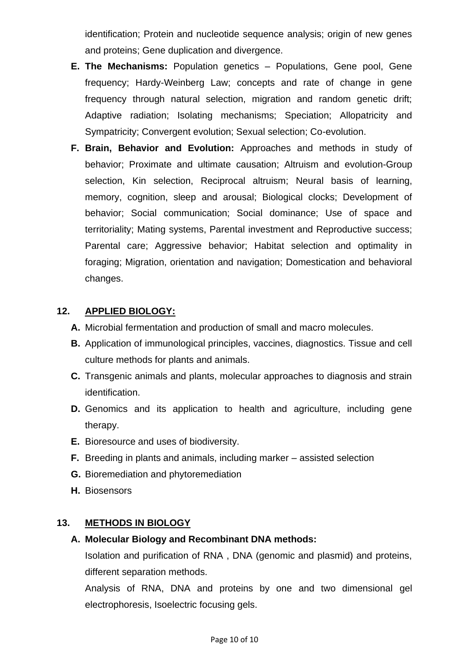identification; Protein and nucleotide sequence analysis; origin of new genes and proteins; Gene duplication and divergence.

- **E. The Mechanisms:** Population genetics Populations, Gene pool, Gene frequency; Hardy-Weinberg Law; concepts and rate of change in gene frequency through natural selection, migration and random genetic drift; Adaptive radiation; Isolating mechanisms; Speciation; Allopatricity and Sympatricity; Convergent evolution; Sexual selection; Co-evolution.
- **F. Brain, Behavior and Evolution:** Approaches and methods in study of behavior; Proximate and ultimate causation; Altruism and evolution-Group selection, Kin selection, Reciprocal altruism; Neural basis of learning, memory, cognition, sleep and arousal; Biological clocks; Development of behavior; Social communication; Social dominance; Use of space and territoriality; Mating systems, Parental investment and Reproductive success; Parental care; Aggressive behavior; Habitat selection and optimality in foraging; Migration, orientation and navigation; Domestication and behavioral changes.

#### **12. APPLIED BIOLOGY:**

- **A.** Microbial fermentation and production of small and macro molecules.
- **B.** Application of immunological principles, vaccines, diagnostics. Tissue and cell culture methods for plants and animals.
- **C.** Transgenic animals and plants, molecular approaches to diagnosis and strain identification.
- **D.** Genomics and its application to health and agriculture, including gene therapy.
- **E.** Bioresource and uses of biodiversity.
- **F.** Breeding in plants and animals, including marker assisted selection
- **G.** Bioremediation and phytoremediation
- **H.** Biosensors

#### **13. METHODS IN BIOLOGY**

#### **A. Molecular Biology and Recombinant DNA methods:**

Isolation and purification of RNA , DNA (genomic and plasmid) and proteins, different separation methods.

Analysis of RNA, DNA and proteins by one and two dimensional gel electrophoresis, Isoelectric focusing gels.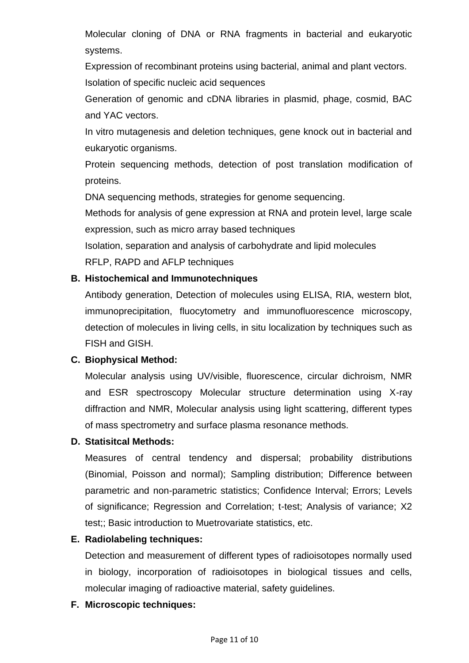Molecular cloning of DNA or RNA fragments in bacterial and eukaryotic systems.

Expression of recombinant proteins using bacterial, animal and plant vectors. Isolation of specific nucleic acid sequences

Generation of genomic and cDNA libraries in plasmid, phage, cosmid, BAC and YAC vectors.

In vitro mutagenesis and deletion techniques, gene knock out in bacterial and eukaryotic organisms.

Protein sequencing methods, detection of post translation modification of proteins.

DNA sequencing methods, strategies for genome sequencing.

Methods for analysis of gene expression at RNA and protein level, large scale expression, such as micro array based techniques

Isolation, separation and analysis of carbohydrate and lipid molecules

RFLP, RAPD and AFLP techniques

#### **B. Histochemical and Immunotechniques**

Antibody generation, Detection of molecules using ELISA, RIA, western blot, immunoprecipitation, fluocytometry and immunofluorescence microscopy, detection of molecules in living cells, in situ localization by techniques such as FISH and GISH.

## **C. Biophysical Method:**

Molecular analysis using UV/visible, fluorescence, circular dichroism, NMR and ESR spectroscopy Molecular structure determination using X-ray diffraction and NMR, Molecular analysis using light scattering, different types of mass spectrometry and surface plasma resonance methods.

#### **D. Statisitcal Methods:**

Measures of central tendency and dispersal; probability distributions (Binomial, Poisson and normal); Sampling distribution; Difference between parametric and non-parametric statistics; Confidence Interval; Errors; Levels of significance; Regression and Correlation; t-test; Analysis of variance; X2 test;; Basic introduction to Muetrovariate statistics, etc.

## **E. Radiolabeling techniques:**

Detection and measurement of different types of radioisotopes normally used in biology, incorporation of radioisotopes in biological tissues and cells, molecular imaging of radioactive material, safety guidelines.

## **F. Microscopic techniques:**